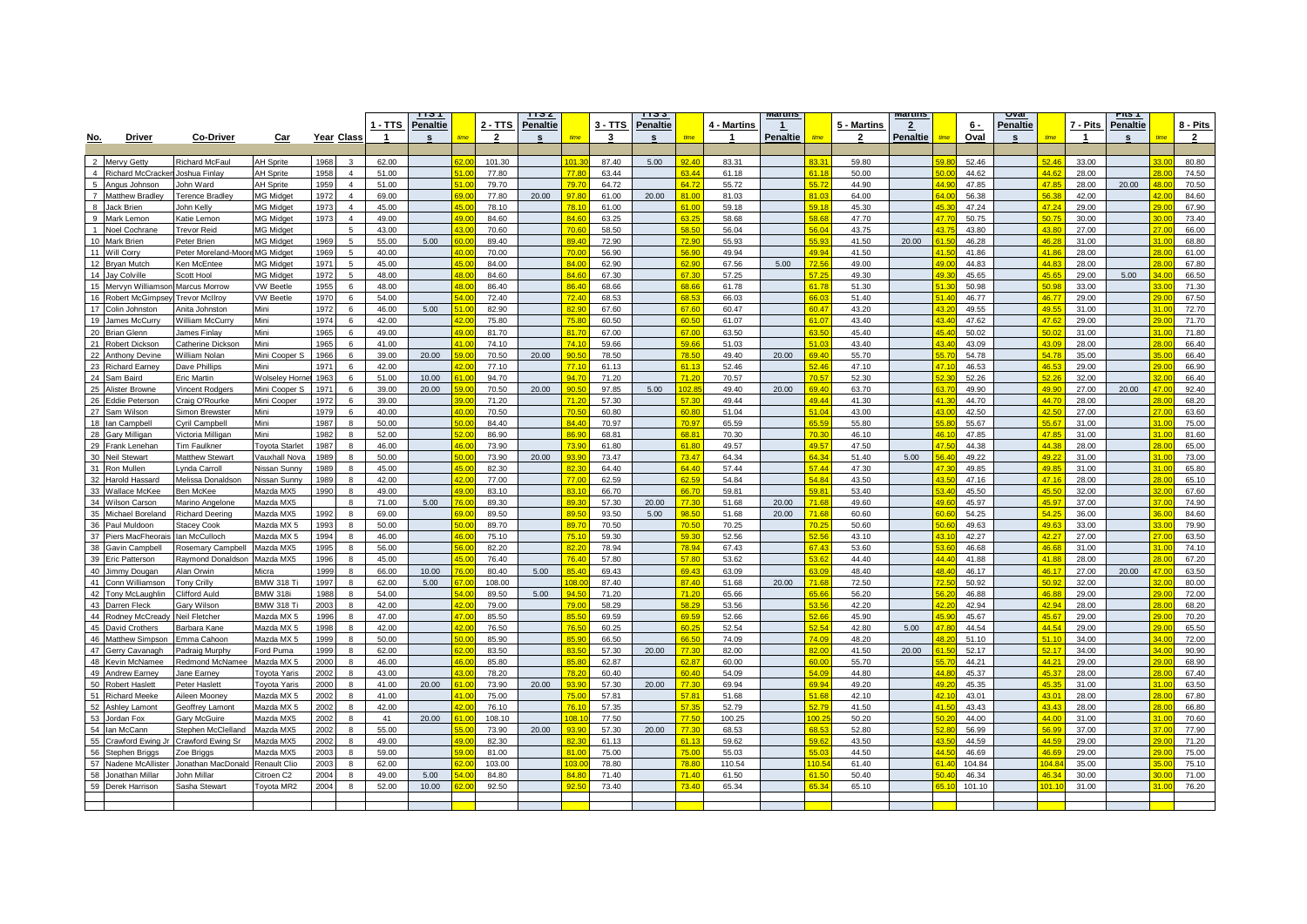|              |                      |                                    |                                      |              |                |                | गञा             |                          |                | пэz             |                  |                | <u>n ə ə</u> |              |                | viaruns         |                          |                    | <u>TEILINE</u>  |                 |                | <u>ovar</u>     |                |                | rπs T           |                 |                |
|--------------|----------------------|------------------------------------|--------------------------------------|--------------|----------------|----------------|-----------------|--------------------------|----------------|-----------------|------------------|----------------|--------------|--------------|----------------|-----------------|--------------------------|--------------------|-----------------|-----------------|----------------|-----------------|----------------|----------------|-----------------|-----------------|----------------|
|              |                      |                                    |                                      |              |                | ∣- TTS         | <u>Penaltie</u> |                          | 2 - TTS        | <b>Penaltie</b> |                  | 3 - TTS        | Penaltie     |              | 4 - Martins    | $\perp$         |                          | <u>5 - Martins</u> | $\overline{2}$  |                 | 6 -            | <u>Penaltie</u> |                | 7 - Pits       | <b>Penaltie</b> |                 | 8 - Pits       |
| <u>No.</u>   | <b>Driver</b>        | <b>Co-Driver</b>                   | Car                                  |              | Year Class     |                |                 |                          | $\overline{2}$ |                 |                  | 3              |              |              |                | <b>Penaltie</b> |                          | $\overline{2}$     | <u>Penaltie</u> |                 | Oval           |                 |                |                |                 |                 | $\overline{2}$ |
|              |                      |                                    |                                      |              |                |                |                 |                          |                |                 |                  |                |              |              |                |                 |                          |                    |                 |                 |                |                 |                |                |                 |                 |                |
|              | 2 Mervy Getty        | <b>Richard McFau</b>               | <b>H</b> Sprite                      | 1968         | 3              | 62.00          |                 |                          | 101.30         |                 | 101.30           | 87.40          | 5.00         | 240          | 83.31          |                 | 83.31                    | 59.80              |                 |                 | 52.46          |                 | 52.46          | 33.00          |                 |                 | 80.80          |
| $\mathbf{A}$ | Richard McCracken    | loshua Finlav                      | <b>AH Sprite</b>                     | 1958         | $\overline{4}$ | 51.00          |                 | 51 OI                    | 77.80          |                 | 77.80            | 63.44          |              | 3.44         | 61.18          |                 | 61 18                    | 50.00              |                 |                 | 44.62          |                 | 44.62          | 28.00          |                 |                 | 74.50          |
|              | 5 Angus Johnson      | John Ward                          | <b>AH Sprite</b>                     | 1959         | $\overline{4}$ | 51.00          |                 | 51 O                     | 79.70          |                 | 79.7             | 64.72          |              | 64.72        | 55.72          |                 | 55.72                    | 44.90              |                 | AA <sub>0</sub> | 47.85          |                 | 47.85          | 28.00          | 20.00           | $\overline{R}$  | 70.50          |
|              | 7 Matthew Bradley    | <b>Ference Bradley</b>             | <b>AG Midget</b>                     | 1972         | $\overline{4}$ | 69.00          |                 |                          | 77.80          | 20.00           | 97.80            | 61.00          | 20.00        | 81.00        | 81.03          |                 |                          | 64.00              |                 | 64 <sub>0</sub> | 56.38          |                 | 56.3           | 42.00          |                 |                 | 84.60          |
| 8            | Jack Brien           | John Kelly                         | <b>MG</b> Midget                     | 1973         | $\overline{4}$ | 45.00          |                 |                          | 78.10          |                 | 78.1             | 61.00          |              | 61.00        | 59.18          |                 | 59.1                     | 45.30              |                 | <b>AR</b>       | 47.24          |                 | 47.2           | 29.00          |                 |                 | 67.90          |
| $\mathbf{q}$ | Mark Lemon           | <b>Katie Lemon</b>                 | MG Midget                            | 1973         | $\overline{4}$ | 49.00          |                 |                          | 84.60          |                 | 84.60            | 63.25          |              |              | 58.68          |                 | <b>58.68</b>             | 47.70              |                 |                 | 50.75          |                 | 50.7           | 30.00          |                 |                 | 73.40          |
|              | Noel Cochrane        | Trevor Reid                        | <b>MG Midget</b>                     |              | 5              | 43.00          |                 | 430                      | 70.60          |                 | 70.6             | 58.50          |              | 58.50        | 56.04          |                 | 56.04                    | 43.75              |                 | 43.7            | 43.80          |                 | 43.80          | 27.00          |                 | $\overline{70}$ | 66.00          |
| 10           | Aark Brien           | Peter Brien                        | <b>AG Midget</b>                     | 1969         | 5              | 55.00          | 5.00            |                          | 89.40          |                 | 89.40            | 72.90          |              | 72.90        | 55.93          |                 | 55.93                    | 41.50              | 20.00           |                 | 46.28          |                 | 46.2           | 31.00          |                 |                 | 68.80          |
|              | 11 Will Corry        | Peter Moreland-Moor                | <b>MG Midget</b>                     | 1969         | 5              | 40.00          |                 | 40 O                     | 70.00          |                 | 70.00            | 56.90          |              | 56.90        | 49.94          |                 | 49.94                    | 41.50              |                 |                 | 41.86          |                 | 41.86          | 28.00          |                 |                 | 61.00          |
|              | 12 Bryan Mutch       | <b>Ken McEntee</b>                 | <b>MG Midget</b>                     | 1971         | 5              | 45.00          |                 |                          | 84.00          |                 | 84.0             | 62.90          |              | 62.90        | 67.56          | 5.00            | 72.56                    | 49.00              |                 | 10              | 44.83          |                 | 44.8           | 28.00          |                 |                 | 67.80          |
|              |                      |                                    |                                      |              | 5              |                |                 |                          |                |                 | 84.60            |                |              | 67.30        |                |                 | 57.25                    |                    |                 | ۵n              |                |                 | 45.6           |                |                 |                 |                |
|              | 14 Jay Colville      | Scott Hool<br><b>Marcus Morrow</b> | <b>MG Midget</b><br><b>VW Beetle</b> | 1972<br>1955 | 6              | 48.00<br>48.00 |                 | 480                      | 84.60<br>86.40 |                 | 86.40            | 67.30<br>68.66 |              | 68.66        | 57.25<br>61.78 |                 | 61.78                    | 49.30<br>51.30     |                 |                 | 45.65<br>50.98 |                 | sn c           | 29.00<br>33.00 | 5.00            |                 | 66.50<br>71.30 |
|              | 15 Mervyn Williamson |                                    |                                      |              |                |                |                 |                          |                |                 | 72.40            |                |              | <b>BR 53</b> |                |                 | 66.0                     |                    |                 |                 |                |                 | 46.77          |                |                 |                 |                |
|              | 16 Robert McGimpse   | <b>Trevor McIlrov</b>              | /W Beetle                            | 1970         | 6              | 54.00          |                 |                          | 72.40          |                 |                  | 68.53          |              |              | 66.03          |                 |                          | 51.40              |                 | 43.             | 46.77          |                 |                | 29.00          |                 |                 | 67.50          |
|              | 17 Colin Johnston    | Anita Johnston                     | Mini                                 | 1972         | $6^{\circ}$    | 46.00          | 5.00            | 51 OI<br>$\overline{20}$ | 82.90          |                 | 82.90            | 67.60          |              | 67.60        | 60.47          |                 | 60.47<br>64 <sub>0</sub> | 43.20              |                 | $\overline{12}$ | 49.55          |                 | 49.55          | 31.00          |                 |                 | 72.70          |
|              | 19 James McCurry     | Villiam McCurry                    | Mini                                 | 1974         | $\mathbf{6}$   | 42.00          |                 |                          | 75.80          |                 | 75.80            | 60.50          |              | an sr        | 61.07          |                 |                          | 43.40              |                 |                 | 47.62          |                 | 47.6           | 29.00          |                 |                 | 71.70          |
|              | 20 Brian Glenn       | lames Finlav                       | Mini                                 | 1965         | 6              | 49.00          |                 |                          | 81.70          |                 | 81.70            | 67.00          |              | 67.00        | 63.50          |                 | 3.50                     | 45.40              |                 | 452             | 50.02          |                 | 50.0           | 31.00          |                 |                 | 71.80          |
|              | 21 Robert Dickson    | atherine Dicksor                   | Mini                                 | 1965         | 6              | 41.00          |                 | 410                      | 74.10          |                 | 74.1             | 59.66          |              | 50 R         | 51.03          |                 | 51.03                    | 43.40              |                 | 43 <sub>l</sub> | 43.09          |                 | 43.0           | 28.00          |                 |                 | 66.40          |
|              | 22 Anthony Devine    | William Nolan                      | Mini Cooper S                        | 1966         | 6              | 39.00          | 20.00           | ia n                     | 70.50          | 20.00           | 90.50            | 78.50          |              | 78.50        | 49.40          | 20.00           | 69.40                    | 55.70              |                 |                 | 54.78          |                 | 54.7           | 35.00          |                 |                 | 66.40          |
|              | 23 Richard Earney    | Jave Phillips                      | Mini                                 | 1971         | 6              | 42.00          |                 | 42 O                     | 77.10          |                 | 77.1             | 61.13          |              | 61.13        | 52.46          |                 | 52.46                    | 47.10              |                 | 47 <sup>2</sup> | 46.53          |                 | 46.5           | 29.00          |                 |                 | 66.90          |
|              | 24 Sam Baird         | Eric Martin                        | Wolseley Horne                       | 1963         | 6              | 51.00          | 10.00           | $\overline{10}$          | 94.70          |                 | 94.70            | 71.20          |              | 71.20        | 70.57          |                 | n si                     | 52.30              |                 |                 | 52.26          |                 | 52.            | 32.00          |                 |                 | 66.40          |
|              | 25 Alister Browne    | incent Rodgers                     | Mini Cooper S                        | 1971         | $\epsilon$     | 39.00          | 20.00           |                          | 70.50          | 20.00           | 90 <sub>5</sub>  | 97.85          | 5.00         | 02.85        | 49.40          | 20.00           | 69.40                    | 63.70              |                 | 63.7            | 49.90          |                 | 49 Q           | 27.00          | 20.00           |                 | 92.40          |
|              | 26 Eddie Peterson    | Craig O'Rourke                     | Mini Cooper                          | 1972         | $\epsilon$     | 39.00          |                 |                          | 71.20          |                 | 71.20            | 57.30          |              | 57.30        | 49.44          |                 | 49.44                    | 41.30              |                 |                 | 44.70          |                 | 44.7           | 28.00          |                 |                 | 68.20          |
|              | 27 Sam Wilson        | Simon Brewster                     | Mini                                 | 1979         | 6              | 40.00          |                 |                          | 70.50          |                 | 70.5(            | 60.80          |              | 60.80        | 51.04          |                 | 51.04                    | 43.00              |                 |                 | 42.50          |                 | 42.50          | 27.00          |                 |                 | 63.60          |
|              | 18 Ian Campbell      | vril Campbell                      | Mini                                 | 1987         |                | 50.00          |                 |                          | 84.40          |                 | 84.40            | 70.97          |              | 70.Q7        | 65.59          |                 | <b>GE E</b>              | 55.80              |                 |                 | 55.67          |                 | 55 R           | 31.00          |                 |                 | 75.00          |
|              | 28 Gary Milligan     | /ictoria Milligan                  | Mini                                 | 1982         | $\mathbf{R}$   | 52.00          |                 |                          | 86.90          |                 | 86.90            | 68.81          |              | <b>SR 81</b> | 70.30          |                 | 70.30                    | 46.10              |                 | 46 <sup>2</sup> | 47.85          |                 | 47 R           | 31.00          |                 |                 | 81.60          |
|              | 29 Frank Lenehan     | <b>Tim Faulkner</b>                | <b>Toyota Starlet</b>                | 1987         | $\mathbf{R}$   | 46.00          |                 | AB                       | 73.90          |                 | 73.90            | 61.80          |              | 61.80        | 49.57          |                 | 49.57                    | 47.50              |                 | 47 F            | 44.38          |                 | 44.3           | 28.00          |                 |                 | 65.00          |
|              | 30 Neil Stewart      | Matthew Stewart                    | Vauxhall Nova                        | 1989         | $\mathbf{R}$   | 50.00          |                 |                          | 73.90          | 20.00           | 93.90            | 73.47          |              | 73.47        | 64.34          |                 | 64.34                    | 51.40              | 5.00            | 56.             | 49.22          |                 | 49.2           | 31.00          |                 |                 | 73.00          |
| 31           | Ron Mullen           | vnda Carroll                       | <b>Vissan Sunnv</b>                  | 989          | 8              | 45.00          |                 |                          | 82.30          |                 | 82.3             | 64.40          |              | 64.40        | 57.44          |                 | 57.44                    | 47.30              |                 | 473             | 49.85          |                 | 49.85          | 31.00          |                 |                 | 65.80          |
|              | 32 Harold Hassard    | Aelissa Donaldson                  | <b>Jissan Sunny</b>                  | 1989         | 8              | 42.00          |                 |                          | 77.00          |                 | 77.00            | 62.59          |              | 62.59        | 54.84          |                 | 54.84                    | 43.50              |                 |                 | 47.16          |                 | 47.1           | 28.00          |                 |                 | 65.10          |
|              | 33 Wallace McKee     | <b>Ben McKee</b>                   | Mazda MX5                            | 1990         | 8              | 49.00          |                 | 49 OI                    | 83.10          |                 | 83.1             | 66.70          |              | 66.70        | 59.81          |                 | 59 R                     | 53.40              |                 |                 | 45.50          |                 | 45.50          | 32.00          |                 |                 | 67.60          |
|              | 34 Wilson Carson     | Marino Angelone                    | Mazda MX5                            |              | 8              | 71.00          | 5.00            |                          | 89.30          |                 | 89.30            | 57.30          | 20.00        | 77.30        | 51.68          | 20.00           | 71.68                    | 49.60              |                 | AQ              | 45.97          |                 | 45.9           | 37.00          |                 |                 | 74.90          |
|              | 35 Michael Boreland  | Richard Deering                    | Mazda MX5                            | 1992         | 8              | 69.00          |                 |                          | 89.50          |                 | 89.50            | 93.50          | 5.00         | 98.50        | 51.68          | 20.00           | <b>71 68</b>             | 60.60              |                 | RN I            | 54.25          |                 | 54.2           | 36.00          |                 |                 | 84.60          |
|              | 36 Paul Muldoon      | Stacey Cook                        | Mazda MX 5                           | 1993         | 8              | 50.00          |                 |                          | 89.70          |                 | 89.7             | 70.50          |              | 70.50        | 70.25          |                 | וכ חז                    | 50.60              |                 |                 | 49.63          |                 | 49.6           | 33.00          |                 |                 | 79.90          |
|              | 37 Piers MacFheorais | an McCulloch                       | Mazda MX 5                           | 1994         | $\mathbf{R}$   | 46.00          |                 |                          | 75.10          |                 | 75.1             | 59.30          |              |              | 52.56          |                 | 525                      | 43.10              |                 |                 | 42.27          |                 | 42.2           | 27.00          |                 |                 | 63.50          |
| 38           | Gavin Campbell       | tosemary Campbell                  | Mazda MX5                            | 1995         | $\mathbf{R}$   | 56.00          |                 | 56 O                     | 82.20          |                 | 82.2             | 78.94          |              | 78.94        | 67.43          |                 | 67.43                    | 53.60              |                 | 52.6            | 46.68          |                 | 46.6           | 31.00          |                 |                 | 74.10          |
|              | 39 Eric Patterson    | <b>Raymond Donaldson</b>           | Mazda MX5                            | 1996         | $\mathbf{R}$   | 45.00          |                 | 450                      | 76.40          |                 | 76.40            | 57.80          |              | 57.80        | 53.62          |                 | 53.62                    | 44.40              |                 | 444             | 41.88          |                 | 41.88          | 28.00          |                 |                 | 67.20          |
|              | 40 Jimmy Dougan      | Alan Orwin                         | Aicra                                | 1999         | $\mathbf{R}$   | 66.00          | 10.00           |                          | 80.40          | 5.00            | 85.40            | 69.43          |              | 69.43        | 63.09          |                 | 63.09                    | 48.40              |                 | 48.4            | 46.17          |                 | 46.1           | 27.00          | 20.00           |                 | 63.50          |
|              | 41 Conn Williamson   | <b>Tony Crilly</b>                 | <b>BMW 318 Ti</b>                    | 1997         | 8              | 62.00          | 5.00            |                          | 108.00         |                 | 108 <sub>c</sub> | 87.40          |              | 87.40        | 51.68          | 20.00           | 71.68                    | 72.50              |                 |                 | 50.92          |                 | 50.9           | 32.00          |                 |                 | 80.00          |
|              | 42 Tony McLaughlin   | Clifford Auld                      | <b>BMW 318i</b>                      | 1988         | 8              | 54.00          |                 | 5400                     | 89.50          | 5.00            | 94.50            | 71.20          |              | 71.20        | 65.66          |                 | <b>RE 66</b>             | 56.20              |                 |                 | 46.88          |                 | 46.88          | 29.00          |                 |                 | 72.00          |
|              | 43 Darren Fleck      | <b>Sary Wilson</b>                 | <b>BMW 318 Ti</b>                    | 2003         | $\mathbf{R}$   | 42.00          |                 | 42 O                     | 79.00          |                 | 79.0             | 58.29          |              | 58.29        | 53.56          |                 | 53.56                    | 42.20              |                 | d o             | 42.94          |                 | 42.94          | 28.00          |                 |                 | 68.20          |
|              | 44 Rodney McCread    | <b>Veil Fletcher</b>               | Mazda MX 5                           | 1996         | $\mathbf{R}$   | 47.00          |                 | 470                      | 85.50          |                 | 85.50            | 69.59          |              | sa Ro        | 52.66          |                 | <b>52.66</b>             | 45.90              |                 | 45.5            | 45.67          |                 | 45.67          | 29.00          |                 |                 | 70.20          |
|              | 45 David Crothers    | <b>Barbara Kane</b>                | Mazda MX 5                           | 1998         | $\mathbf{R}$   | 42.00          |                 | 42 O                     | 76.50          |                 | 76.5             | 60.25          |              | 60.25        | 52.54          |                 | 52.54                    | 42.80              | 5.00            | 47              | 44.54          |                 | 44.54          | 29.00          |                 |                 | 65.50          |
|              | 46 Matthew Simpson   | mma Cahoon                         | Aazda MX 5                           | 1999         | $\mathbf{R}$   | 50.00          |                 |                          | 85.90          |                 | <b>85 Q</b>      | 66.50          |              | 66.50        | 74.09          |                 | 74.09                    | 48.20              |                 |                 | 51.10          |                 | 51.1           | 34.00          |                 |                 | 72.00          |
|              | 47 Gerry Cavanagh    | Padraig Murphy                     | Ford Puma                            | 1999         | 8              | 62.00          |                 | 82 N                     | 83.50          |                 | 83.50            | 57.30          | 20.00        | 77.30        | 82.00          |                 | 82.00                    | 41.50              | 20.00           |                 | 52.17          |                 | 52.17          | 34.00          |                 |                 | 90.90          |
|              | 48 Kevin McNamee     | Redmond McNamee                    | Mazda MX !                           | 2000         |                | 46.00          |                 | ABC                      | 85.80          |                 | 85.8             | 62.87          |              | 82.BJ        | 60.00          |                 | 60.00                    | 55.70              |                 |                 | 44.21          |                 | 44.2           | 29.00          |                 |                 | 68.90          |
|              | 49 Andrew Earney     | lane Earney                        | <b>Toyota Yaris</b>                  | 2002         | 8              | 43.00          |                 |                          | 78.20          |                 | 78.20            | 60.40          |              | 60.40        | 54.09          |                 | 54.09                    | 44.80              |                 | AA S            | 45.37          |                 | 45.37          | 28.00          |                 |                 | 67.40          |
|              | 50 Robert Haslett    | Peter Haslett                      | <b>Toyota Yaris</b>                  | 2000         | $\mathbf{R}$   | 41.00          | 20.00           |                          | 73.90          | 20.00           | 93.9             | 57.30          | 20.00        | 77.30        | 69.94          |                 | 69.94                    | 49.20              |                 | 4Q.             | 45.35          |                 | 45.3           | 31.00          |                 |                 | 63.50          |
|              | 51 Richard Meeke     | Aileen Mooney                      | Mazda MX 5                           | 2002         | $\mathbf{R}$   | 41.00          |                 | 410                      | 75.00          |                 | 75.0             | 57.81          |              | 57.81        | 51.68          |                 | 51.65                    | 42.10              |                 |                 | 43.01          |                 | 43.0           | 28.00          |                 |                 | 67.80          |
|              | 52 Ashley Lamont     | Geoffrey Lamont                    | Mazda MX 5                           | 2002         | 8              | 42.00          |                 | <b>20</b>                | 76.10          |                 | 76.1             | 57.35          |              | 57.35        | 52.79          |                 | 52.79                    | 41.50              |                 | 41              | 43.43          |                 | 43.43          | 28.00          |                 |                 | 66.80          |
|              | 53 U<br>ordan Fox    | <b>Sarv McGuire</b>                | Mazda MX5                            | 2002         | 8              | 41             | 20.00           | 31 O                     | 108.10         |                 | 08.1             | 77.50          |              | 77.50        | 100.25         |                 | 00.2                     | 50.20              |                 |                 | 44.00          |                 | 44.00          | 31.00          |                 |                 | 70.60          |
|              | 54 Ian McCann        | Stephen McClelland                 | Mazda MX5                            | 2002         | 8              | 55.00          |                 |                          | 73.90          | 20.00           | 93.9             | 57.30          | 20.00        | 77.30        | 68.53          |                 | 68.53                    | 52.80              |                 |                 | 56.99          |                 | <b>569</b>     | 37.00          |                 |                 | 77.90          |
|              | 55 Crawford Ewing    | rawford Ewing Sr                   | Aazda MX5                            | 2002         | 8              | 49.00          |                 |                          | 82.30          |                 | 823              | 61.13          |              | 61.13        | 59.62          |                 | 50 G                     | 43.50              |                 | 123             | 44.59          |                 | 44.5           | 29.00          |                 |                 | 71.20          |
|              | 56 Stephen Briggs    | Coe Briggs                         | Mazda MX5                            | 2003         | 8              | 59.00          |                 |                          | 81.00          |                 | 8100             | 75.00          |              | '5 OC        | 55.03          |                 |                          | 44.50              |                 | AA F            | 46.69          |                 | 46.69          | 29.00          |                 |                 | 75.00          |
|              | 57 Nadene McAllister | Ionathan MacDonald                 | Renault Clio                         | 2003         | 8              | 62.00          |                 |                          | 103.00         |                 | ויפחו            | 78.80          |              | 78.80        | 110.54         |                 | 10F                      | 61.40              |                 |                 | 104.84         |                 | $\overline{A}$ | 35.00          |                 |                 | 75.10          |
|              | 58 Jonathan Millar   | lohn Millar                        | Citroen C2                           | 2004         | $\mathbf{R}$   | 49.00          | 5.00            |                          | 84.80          |                 | 84.80            | 71.40          |              | 71.40        | 61.50          |                 |                          | 50.40              |                 |                 | 46.34          |                 | 46.3           | 30.00          |                 |                 | 71.00          |
|              | 59 Derek Harrison    | Sasha Stewart                      | ovota MR2                            | 2004         | $\mathbf{R}$   | 52.00          | 10.00           |                          | 92.50          |                 | 92.50            | 73.40          |              | 73.40        | 65.34          |                 | <b>65.34</b>             | 65.10              |                 |                 | 101.10         |                 | n1             | 31.00          |                 |                 | 76.20          |
|              |                      |                                    |                                      |              |                |                |                 |                          |                |                 |                  |                |              |              |                |                 |                          |                    |                 |                 |                |                 |                |                |                 |                 |                |
|              |                      |                                    |                                      |              |                |                |                 |                          |                |                 |                  |                |              |              |                |                 |                          |                    |                 |                 |                |                 |                |                |                 |                 |                |